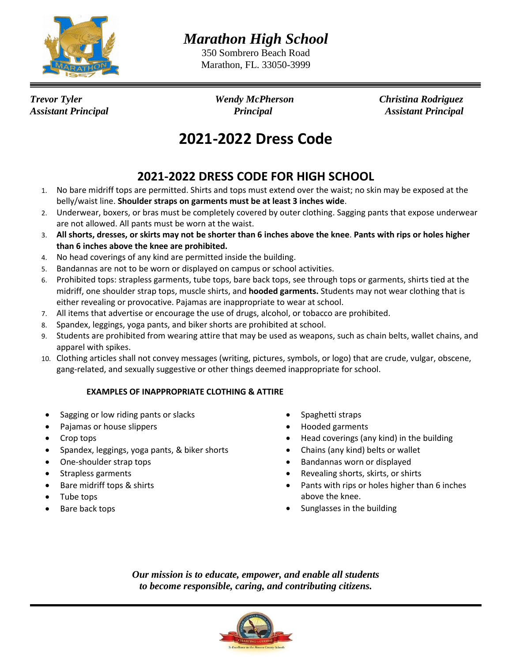

*Marathon High School*

350 Sombrero Beach Road Marathon, FL. 33050-3999

*Trevor Tyler Wendy McPherson Christina Rodriguez Assistant Principal Principal Assistant Principal*

## **2021-2022 Dress Code**

## **2021-2022 DRESS CODE FOR HIGH SCHOOL**

- 1. No bare midriff tops are permitted. Shirts and tops must extend over the waist; no skin may be exposed at the belly/waist line. **Shoulder straps on garments must be at least 3 inches wide**.
- 2. Underwear, boxers, or bras must be completely covered by outer clothing. Sagging pants that expose underwear are not allowed. All pants must be worn at the waist.
- 3. **All shorts, dresses, or skirts may not be shorter than 6 inches above the knee**. **Pants with rips or holes higher than 6 inches above the knee are prohibited.**
- 4. No head coverings of any kind are permitted inside the building.
- 5. Bandannas are not to be worn or displayed on campus or school activities.
- 6. Prohibited tops: strapless garments, tube tops, bare back tops, see through tops or garments, shirts tied at the midriff, one shoulder strap tops, muscle shirts, and **hooded garments.** Students may not wear clothing that is either revealing or provocative. Pajamas are inappropriate to wear at school.
- 7. All items that advertise or encourage the use of drugs, alcohol, or tobacco are prohibited.
- 8. Spandex, leggings, yoga pants, and biker shorts are prohibited at school.
- 9. Students are prohibited from wearing attire that may be used as weapons, such as chain belts, wallet chains, and apparel with spikes.
- 10. Clothing articles shall not convey messages (writing, pictures, symbols, or logo) that are crude, vulgar, obscene, gang-related, and sexually suggestive or other things deemed inappropriate for school.

## **EXAMPLES OF INAPPROPRIATE CLOTHING & ATTIRE**

- Sagging or low riding pants or slacks
- Pajamas or house slippers
- Crop tops
- Spandex, leggings, yoga pants, & biker shorts
- One-shoulder strap tops
- Strapless garments
- Bare midriff tops & shirts
- Tube tops
- Bare back tops
- Spaghetti straps
- Hooded garments
- Head coverings (any kind) in the building
- Chains (any kind) belts or wallet
- Bandannas worn or displayed
- Revealing shorts, skirts, or shirts
- Pants with rips or holes higher than 6 inches above the knee.
- Sunglasses in the building

*Our mission is to educate, empower, and enable all students to become responsible, caring, and contributing citizens.*